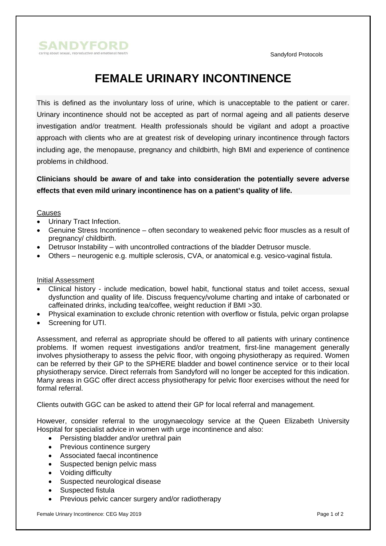



# **FEMALE URINARY INCONTINENCE**

This is defined as the involuntary loss of urine, which is unacceptable to the patient or carer. Urinary incontinence should not be accepted as part of normal ageing and all patients deserve investigation and/or treatment. Health professionals should be vigilant and adopt a proactive approach with clients who are at greatest risk of developing urinary incontinence through factors including age, the menopause, pregnancy and childbirth, high BMI and experience of continence problems in childhood.

# **Clinicians should be aware of and take into consideration the potentially severe adverse effects that even mild urinary incontinence has on a patient's quality of life.**

## Causes

- Urinary Tract Infection.
- Genuine Stress Incontinence often secondary to weakened pelvic floor muscles as a result of pregnancy/ childbirth.
- Detrusor Instability with uncontrolled contractions of the bladder Detrusor muscle.
- Others neurogenic e.g. multiple sclerosis, CVA, or anatomical e.g. vesico-vaginal fistula.

### Initial Assessment

- Clinical history include medication, bowel habit, functional status and toilet access, sexual dysfunction and quality of life. Discuss frequency/volume charting and intake of carbonated or caffeinated drinks, including tea/coffee, weight reduction if BMI >30.
- Physical examination to exclude chronic retention with overflow or fistula, pelvic organ prolapse
- Screening for UTI.

Assessment, and referral as appropriate should be offered to all patients with urinary continence problems. If women request investigations and/or treatment, first-line management generally involves physiotherapy to assess the pelvic floor, with ongoing physiotherapy as required. Women can be referred by their GP to the SPHERE bladder and bowel continence service or to their local physiotherapy service. Direct referrals from Sandyford will no longer be accepted for this indication. Many areas in GGC offer direct access physiotherapy for pelvic floor exercises without the need for formal referral.

Clients outwith GGC can be asked to attend their GP for local referral and management.

However, consider referral to the urogynaecology service at the Queen Elizabeth University Hospital for specialist advice in women with urge incontinence and also:

- Persisting bladder and/or urethral pain
- Previous continence surgery
- Associated faecal incontinence
- Suspected benign pelvic mass
- Voiding difficulty
- Suspected neurological disease
- Suspected fistula
- Previous pelvic cancer surgery and/or radiotherapy